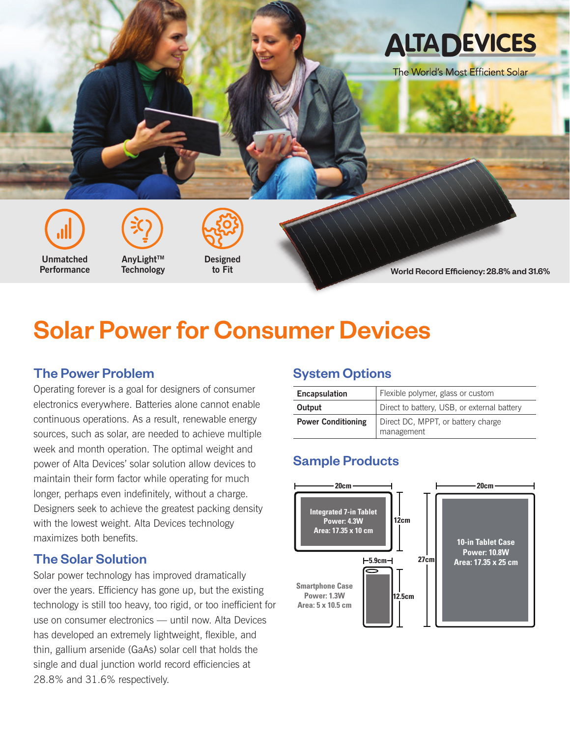

# Solar Power for Consumer Devices

## The Power Problem

Operating forever is a goal for designers of consumer electronics everywhere. Batteries alone cannot enable continuous operations. As a result, renewable energy sources, such as solar, are needed to achieve multiple week and month operation. The optimal weight and power of Alta Devices' solar solution allow devices to maintain their form factor while operating for much longer, perhaps even indefinitely, without a charge. Designers seek to achieve the greatest packing density with the lowest weight. Alta Devices technology maximizes both benefits.

#### The Solar Solution

Solar power technology has improved dramatically over the years. Efficiency has gone up, but the existing technology is still too heavy, too rigid, or too inefficient for use on consumer electronics — until now. Alta Devices has developed an extremely lightweight, flexible, and thin, gallium arsenide (GaAs) solar cell that holds the single and dual junction world record efficiencies at 28.8% and 31.6% respectively.

#### System Options

| <b>Encapsulation</b>      | Flexible polymer, glass or custom           |  |  |
|---------------------------|---------------------------------------------|--|--|
| Output                    | Direct to battery, USB, or external battery |  |  |
| <b>Power Conditioning</b> | Direct DC, MPPT, or battery charge          |  |  |
|                           | management                                  |  |  |

# Sample Products